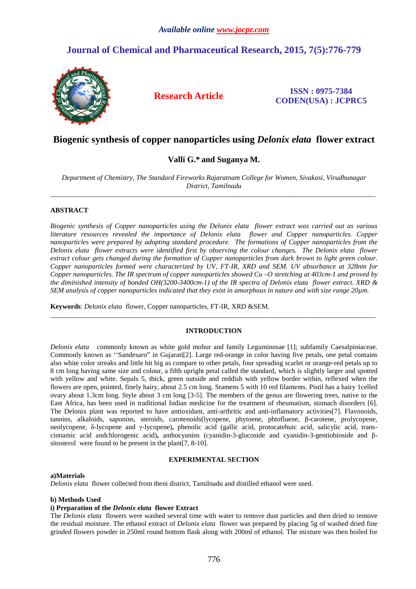# **Journal of Chemical and Pharmaceutical Research, 2015, 7(5):776-779**



**Research Article ISSN : 0975-7384 CODEN(USA) : JCPRC5**

# **Biogenic synthesis of copper nanoparticles using** *Delonix elata* **flower extract**

# **Valli G.\* and Suganya M.**

*Department of Chemistry, The Standard Fireworks Rajaratnam College for Women, Sivakasi, Virudhunagar District, Tamilnadu*  \_\_\_\_\_\_\_\_\_\_\_\_\_\_\_\_\_\_\_\_\_\_\_\_\_\_\_\_\_\_\_\_\_\_\_\_\_\_\_\_\_\_\_\_\_\_\_\_\_\_\_\_\_\_\_\_\_\_\_\_\_\_\_\_\_\_\_\_\_\_\_\_\_\_\_\_\_\_\_\_\_\_\_\_\_\_\_\_\_\_\_\_\_

# **ABSTRACT**

*Biogenic synthesis of Copper nanoparticles using the Delonix elata flower extract was carried out as various literature resources revealed the importance of Delonix elata flower and Copper nanoparticles. Copper nanoparticles were prepared by adopting standard procedure. The formations of Copper nanoparticles from the Delonix elata flower extracts were identified first by observing the colour changes. The Delonix elata flower extract colour gets changed during the formation of Copper nanoparticles from dark brown to light green colour. Copper nanoparticles formed were characterized by UV, FT-IR, XRD and SEM. UV absorbance at 328nm for Copper nanoparticles. The IR spectrum of copper nanoparticles showed Cu –O stretching at 403cm-1 and proved by the diminished intensity of bonded OH(3200-3400cm-1) of the IR spectra of Delonix elata flower extract. XRD & SEM analysis of copper nanoparticles indicated that they exist in amorphous in nature and with size range 20µm.* 

**Keywords**: *Delonix elata* flower, Copper nanoparticles, FT-IR, XRD &SEM.

### **INTRODUCTION**

 $\overline{a}$  , and the contribution of the contribution of the contribution of the contribution of the contribution of the contribution of the contribution of the contribution of the contribution of the contribution of the co

*Delonix elata* commonly known as white gold mohur and family Leguminosae [1]; subfamily Caesalpiniaceae. Commonly known as ''Sandesaro" in Gujarati[2]. Large red-orange in color having five petals, one petal contains also white color streaks and little bit big as compare to other petals, four spreading scarlet or orange-red petals up to 8 cm long having same size and colour, a fifth upright petal called the standard, which is slightly larger and spotted with yellow and white. Sepals 5, thick, green outside and reddish with yellow border within, reflexed when the flowers are open, pointed, finely hairy, about 2.5 cm long. Stamens 5 with 10 red filaments. Pistil has a hairy 1celled ovary about 1.3cm long. Style about 3 cm long [3-5]. The members of the genus are flowering trees, native to the East Africa, has been used in traditional Indian medicine for the treatment of rheumatism, stomach disorders [6]. The Delonix plant was reported to have antioxidant, anti-arthritic and anti-inflamatory activities[7]. Flavonoids, tannins, alkaloids, saponins, steroids, carotenoids(lycopene, phytoene, phtofluene, β-carotene, prolycopene, neolycopene, δ-lycopene and γ-lycopene)**,** phenolic acid (gallic acid, protocatehuic acid, salicylic acid, transcinnamic acid andchlorogenic acid)**,** anthocyanins (cyanidin-3-glucoside and cyanidin-3-gentiobioside and βsitosterol were found to be present in the plant[7, 8-10].

### **EXPERIMENTAL SECTION**

#### **a)Materials**

*Delonix elata* flower collected from theni district, Tamilnadu and distilled ethanol were used.

### **b) Methods Used**

### **i) Preparation of the** *Delonix elata* **flower Extract**

The *Delonix elata* flowers were washed several time with water to remove dust particles and then dried to remove the residual moisture. The ethanol extract of *Delonix elata* flower was prepared by placing 5g of washed dried fine grinded flowers powder in 250ml round bottom flask along with 200ml of ethanol. The mixture was then boiled for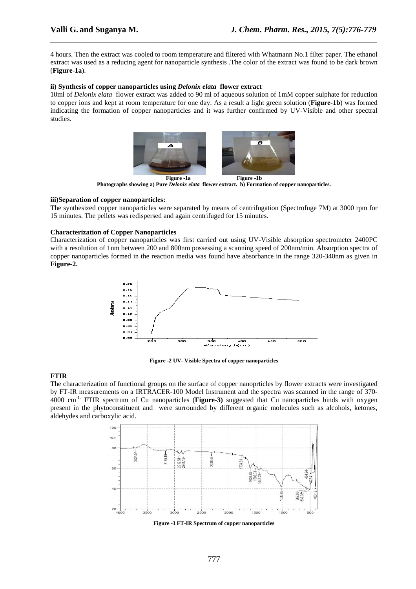4 hours. Then the extract was cooled to room temperature and filtered with Whatmann No.1 filter paper. The ethanol extract was used as a reducing agent for nanoparticle synthesis .The color of the extract was found to be dark brown (**Figure-1a**).

*\_\_\_\_\_\_\_\_\_\_\_\_\_\_\_\_\_\_\_\_\_\_\_\_\_\_\_\_\_\_\_\_\_\_\_\_\_\_\_\_\_\_\_\_\_\_\_\_\_\_\_\_\_\_\_\_\_\_\_\_\_\_\_\_\_\_\_\_\_\_\_\_\_\_\_\_\_\_*

### **ii) Synthesis of copper nanoparticles using** *Delonix elata* **flower extract**

10ml of *Delonix elata* flower extract was added to 90 ml of aqueous solution of 1mM copper sulphate for reduction to copper ions and kept at room temperature for one day. As a result a light green solution (**Figure-1b**) was formed indicating the formation of copper nanoparticles and it was further confirmed by UV-Visible and other spectral studies.



Figure -1a Figure -1b **Photographs showing a) Pure** *Delonix elata* **flower extract. b) Formation of copper nanoparticles.** 

# **iii)Separation of copper nanoparticles:**

The synthesized copper nanoparticles were separated by means of centrifugation (Spectrofuge 7M) at 3000 rpm for 15 minutes. The pellets was redispersed and again centrifuged for 15 minutes.

# **Characterization of Copper Nanoparticles**

Characterization of copper nanoparticles was first carried out using UV-Visible absorption spectrometer 2400PC with a resolution of 1nm between 200 and 800nm possessing a scanning speed of 200nm/min. Absorption spectra of copper nanoparticles formed in the reaction media was found have absorbance in the range 320-340nm as given in **Figure-2.** 



**Figure -2 UV- Visible Spectra of copper nanoparticles** 

### **FTIR**

The characterization of functional groups on the surface of copper nanoprticles by flower extracts were investigated by FT-IR measurements on a IRTRACER-100 Model Instrument and the spectra was scanned in the range of 370- 4000 cm-1. FTIR spectrum of Cu nanoparticles (**Figure-3)** suggested that Cu nanoparticles binds with oxygen present in the phytoconstituent and were surrounded by different organic molecules such as alcohols, ketones, aldehydes and carboxylic acid.



**Figure -3 FT-IR Spectrum of copper nanoparticles**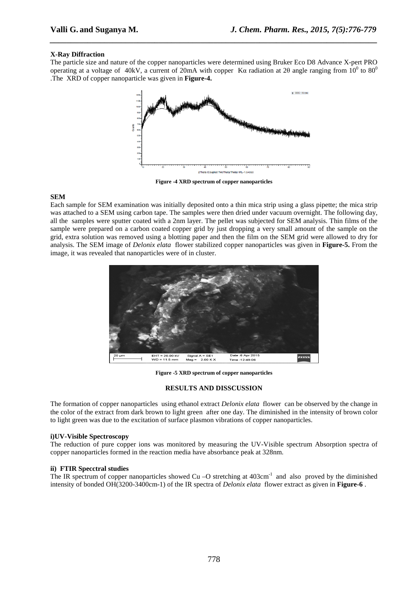# **X-Ray Diffraction**

The particle size and nature of the copper nanoparticles were determined using Bruker Eco D8 Advance X-pert PRO operating at a voltage of 40kV, a current of 20mA with copper K $\alpha$  radiation at 20 angle ranging from  $10^0$  to 80<sup>0</sup> .The XRD of copper nanoparticle was given in **Figure-4.**

*\_\_\_\_\_\_\_\_\_\_\_\_\_\_\_\_\_\_\_\_\_\_\_\_\_\_\_\_\_\_\_\_\_\_\_\_\_\_\_\_\_\_\_\_\_\_\_\_\_\_\_\_\_\_\_\_\_\_\_\_\_\_\_\_\_\_\_\_\_\_\_\_\_\_\_\_\_\_*



**Figure -4 XRD spectrum of copper nanoparticles** 

### **SEM**

Each sample for SEM examination was initially deposited onto a thin mica strip using a glass pipette; the mica strip was attached to a SEM using carbon tape. The samples were then dried under vacuum overnight. The following day, all the samples were sputter coated with a 2nm layer. The pellet was subjected for SEM analysis. Thin films of the sample were prepared on a carbon coated copper grid by just dropping a very small amount of the sample on the grid, extra solution was removed using a blotting paper and then the film on the SEM grid were allowed to dry for analysis. The SEM image of *Delonix elata* flower stabilized copper nanoparticles was given in **Figure-5.** From the image, it was revealed that nanoparticles were of in cluster.



**Figure -5 XRD spectrum of copper nanoparticles** 

### **RESULTS AND DISSCUSSION**

The formation of copper nanoparticles using ethanol extract *Delonix elata* flower can be observed by the change in the color of the extract from dark brown to light green after one day. The diminished in the intensity of brown color to light green was due to the excitation of surface plasmon vibrations of copper nanoparticles.

### **i)UV-Visible Spectroscopy**

The reduction of pure copper ions was monitored by measuring the UV-Visible spectrum Absorption spectra of copper nanoparticles formed in the reaction media have absorbance peak at 328nm.

### **ii) FTIR Specctral studies**

The IR spectrum of copper nanoparticles showed Cu –O stretching at 403cm<sup>-1</sup> and also proved by the diminished intensity of bonded OH(3200-3400cm-1) of the IR spectra of *Delonix elata* flower extract as given in **Figure-6** .